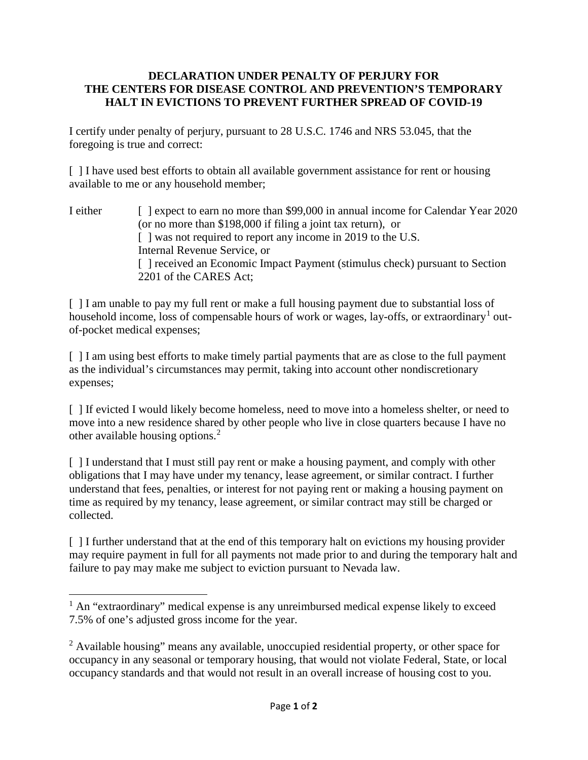## **DECLARATION UNDER PENALTY OF PERJURY FOR THE CENTERS FOR DISEASE CONTROL AND PREVENTION'S TEMPORARY HALT IN EVICTIONS TO PREVENT FURTHER SPREAD OF COVID-19**

I certify under penalty of perjury, pursuant to 28 U.S.C. 1746 and NRS 53.045, that the foregoing is true and correct:

[ ] I have used best efforts to obtain all available government assistance for rent or housing available to me or any household member;

I either [ ] expect to earn no more than \$99,000 in annual income for Calendar Year 2020 (or no more than \$198,000 if filing a joint tax return), or [ ] was not required to report any income in 2019 to the U.S. Internal Revenue Service, or [ ] received an Economic Impact Payment (stimulus check) pursuant to Section 2201 of the CARES Act;

[ ] I am unable to pay my full rent or make a full housing payment due to substantial loss of household income, loss of compensable hours of work or wages, lay-offs, or extraordinary<sup>[1](#page-0-0)</sup> outof-pocket medical expenses;

[ ] I am using best efforts to make timely partial payments that are as close to the full payment as the individual's circumstances may permit, taking into account other nondiscretionary expenses;

[] If evicted I would likely become homeless, need to move into a homeless shelter, or need to move into a new residence shared by other people who live in close quarters because I have no other available housing options.[2](#page-0-1)

[ ] I understand that I must still pay rent or make a housing payment, and comply with other obligations that I may have under my tenancy, lease agreement, or similar contract. I further understand that fees, penalties, or interest for not paying rent or making a housing payment on time as required by my tenancy, lease agreement, or similar contract may still be charged or collected.

[ ] I further understand that at the end of this temporary halt on evictions my housing provider may require payment in full for all payments not made prior to and during the temporary halt and failure to pay may make me subject to eviction pursuant to Nevada law.

l

<span id="page-0-0"></span> $<sup>1</sup>$  An "extraordinary" medical expense is any unreimbursed medical expense likely to exceed</sup> 7.5% of one's adjusted gross income for the year.

<span id="page-0-1"></span><sup>&</sup>lt;sup>2</sup> Available housing" means any available, unoccupied residential property, or other space for occupancy in any seasonal or temporary housing, that would not violate Federal, State, or local occupancy standards and that would not result in an overall increase of housing cost to you.